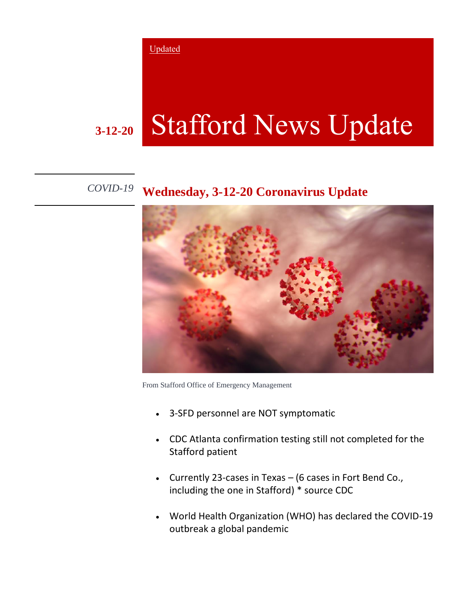Updated

## **3-12-20** Stafford News Update

## *COVID-19* **Wednesday, 3-12-20 Coronavirus Update**



From Stafford Office of Emergency Management

- 3-SFD personnel are NOT symptomatic
- CDC Atlanta confirmation testing still not completed for the Stafford patient
- Currently 23-cases in Texas (6 cases in Fort Bend Co., including the one in Stafford) \* source CDC
- World Health Organization (WHO) has declared the COVID-19 outbreak a global pandemic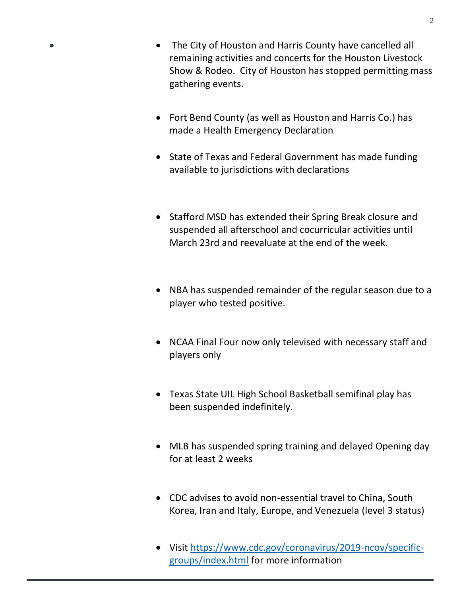- The City of Houston and Harris County have cancelled all remaining activities and concerts for the Houston Livestock Show & Rodeo. City of Houston has stopped permitting mass gathering events.
- Fort Bend County (as well as Houston and Harris Co.) has made a Health Emergency Declaration
- State of Texas and Federal Government has made funding available to jurisdictions with declarations
- Stafford MSD has extended their Spring Break closure and suspended all afterschool and cocurricular activities until March 23rd and reevaluate at the end of the week.
- NBA has suspended remainder of the regular season due to a player who tested positive.
- NCAA Final Four now only televised with necessary staff and players only
- Texas State UIL High School Basketball semifinal play has been suspended indefinitely.
- MLB has suspended spring training and delayed Opening day for at least 2 weeks
- CDC advises to avoid non-essential travel to China, South Korea, Iran and Italy, Europe, and Venezuela (level 3 status)
- Visit [https://www.cdc.gov/coronavirus/2019-ncov/specific](https://www.cdc.gov/coronavirus/2019-ncov/specific-groups/index.html)[groups/index.html](https://www.cdc.gov/coronavirus/2019-ncov/specific-groups/index.html) for more information